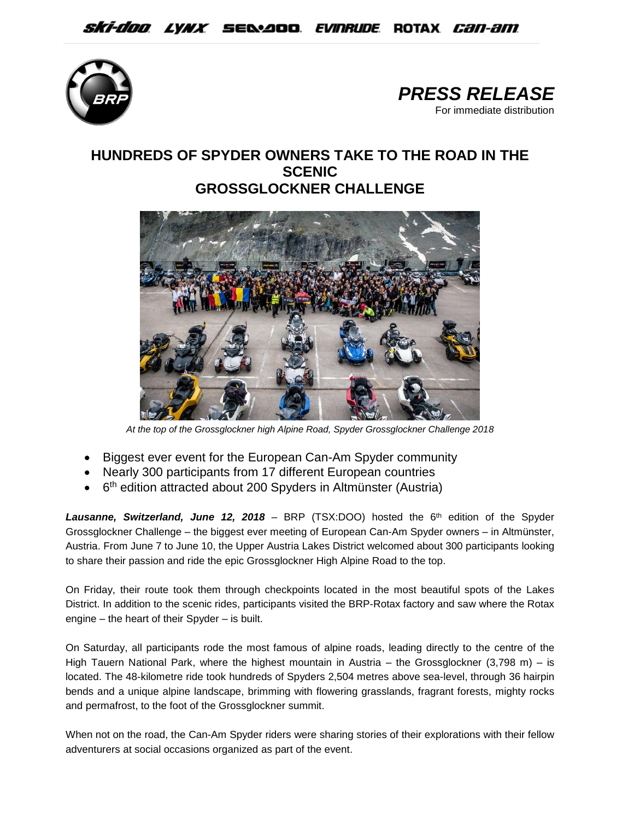



## **HUNDREDS OF SPYDER OWNERS TAKE TO THE ROAD IN THE SCENIC GROSSGLOCKNER CHALLENGE**



*At the top of the Grossglockner high Alpine Road, Spyder Grossglockner Challenge 2018*

- Biggest ever event for the European Can-Am Spyder community
- Nearly 300 participants from 17 different European countries
- 6<sup>th</sup> edition attracted about 200 Spyders in Altmünster (Austria)

Lausanne, Switzerland, June 12, 2018 – BRP (TSX:DOO) hosted the 6<sup>th</sup> edition of the Spyder Grossglockner Challenge – the biggest ever meeting of European Can-Am Spyder owners – in Altmünster, Austria. From June 7 to June 10, the Upper Austria Lakes District welcomed about 300 participants looking to share their passion and ride the epic Grossglockner High Alpine Road to the top.

On Friday, their route took them through checkpoints located in the most beautiful spots of the Lakes District. In addition to the scenic rides, participants visited the BRP-Rotax factory and saw where the Rotax engine – the heart of their Spyder – is built.

On Saturday, all participants rode the most famous of alpine roads, leading directly to the centre of the High Tauern National Park, where the highest mountain in Austria – the Grossglockner (3,798 m) – is located. The 48-kilometre ride took hundreds of Spyders 2,504 metres above sea-level, through 36 hairpin bends and a unique alpine landscape, brimming with flowering grasslands, fragrant forests, mighty rocks and permafrost, to the foot of the Grossglockner summit.

When not on the road, the Can-Am Spyder riders were sharing stories of their explorations with their fellow adventurers at social occasions organized as part of the event.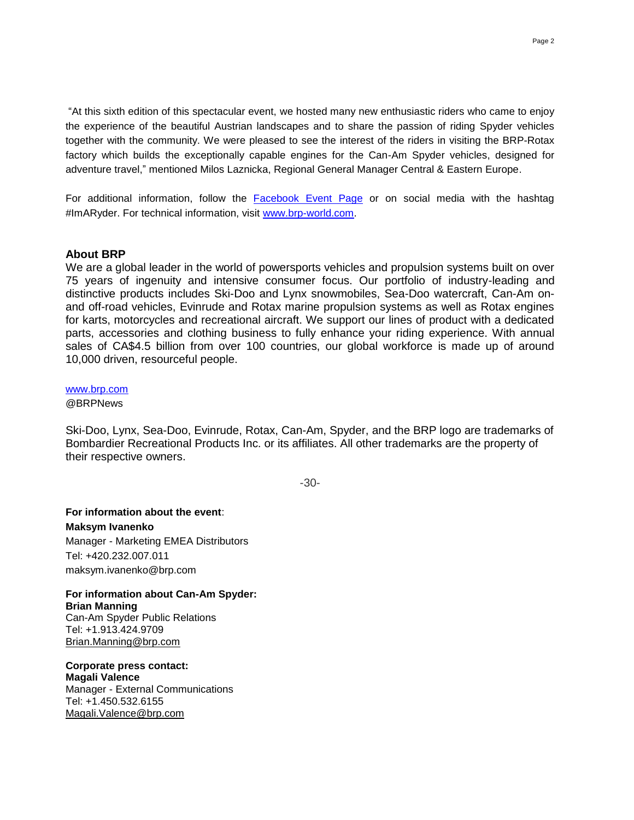"At this sixth edition of this spectacular event, we hosted many new enthusiastic riders who came to enjoy the experience of the beautiful Austrian landscapes and to share the passion of riding Spyder vehicles together with the community. We were pleased to see the interest of the riders in visiting the BRP-Rotax factory which builds the exceptionally capable engines for the Can-Am Spyder vehicles, designed for adventure travel," mentioned Milos Laznicka, Regional General Manager Central & Eastern Europe.

For additional information, follow the [Facebook Event Page](https://www.facebook.com/events/1561190197232636/?active_tab=discussion) or on social media with the hashtag #ImARyder. For technical information, visit [www.brp-world.com.](http://www.brp-world.com/)

## **About BRP**

We are a global leader in the world of powersports vehicles and propulsion systems built on over 75 years of ingenuity and intensive consumer focus. Our portfolio of industry-leading and distinctive products includes Ski-Doo and Lynx snowmobiles, Sea-Doo watercraft, Can-Am onand off-road vehicles, Evinrude and Rotax marine propulsion systems as well as Rotax engines for karts, motorcycles and recreational aircraft. We support our lines of product with a dedicated parts, accessories and clothing business to fully enhance your riding experience. With annual sales of CA\$4.5 billion from over 100 countries, our global workforce is made up of around 10,000 driven, resourceful people.

## [www.brp.com](http://www.brp.com/)

@BRPNews

Ski-Doo, Lynx, Sea-Doo, Evinrude, Rotax, Can-Am, Spyder, and the BRP logo are trademarks of Bombardier Recreational Products Inc. or its affiliates. All other trademarks are the property of their respective owners.

-30-

**For information about the event**: **Maksym Ivanenko** Manager - Marketing EMEA Distributors Tel: +420.232.007.011 maksym.ivanenko@brp.com

**For information about Can-Am Spyder: Brian Manning** Can-Am Spyder Public Relations Tel: +1.913.424.9709 [Brian.Manning@brp.com](mailto:Brian.Manning@brp.com)

**Corporate press contact: Magali Valence** Manager - External Communications Tel: [+1.450.532.6155](tel:%2B1.450.532.6155) [Magali.Valence@brp.com](mailto:Magali.Valence@brp.com)